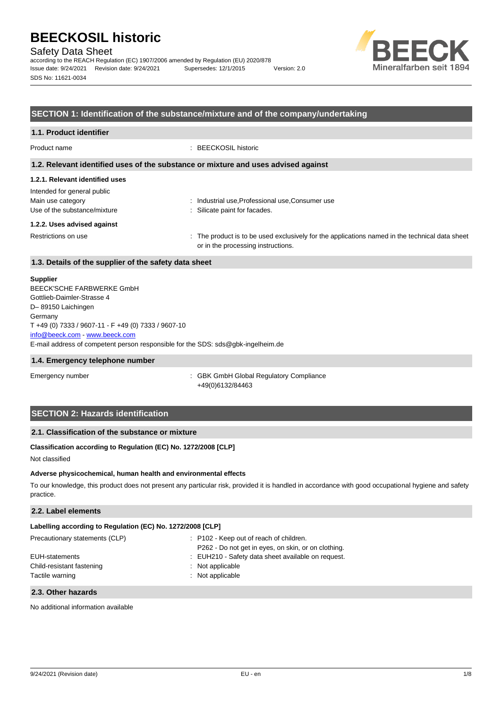Safety Data Sheet

according to the REACH Regulation (EC) 1907/2006 amended by Regulation (EU) 2020/878 Issue date: 9/24/2021 Revision date: 9/24/2021 Supersedes: 12/1/2015 Version: 2.0 SDS No: 11621-0034



# **SECTION 1: Identification of the substance/mixture and of the company/undertaking**

# **1.1. Product identifier**

Product name : BEECKOSIL historic

#### **1.2. Relevant identified uses of the substance or mixture and uses advised against**

#### **1.2.1. Relevant identified uses**

Intended for general public Main use category **industrial use, Professional use, Consumer use** industrial use, Professional use, Consumer use Use of the substance/mixture in the substance/mixture in the substance in the substance of the substance of the substance of the substance of the substance of the substance of the substance of the substance of the substanc

#### **1.2.2. Uses advised against**

Restrictions on use state of the product is to be used exclusively for the applications named in the technical data sheet or in the processing instructions.

# **1.3. Details of the supplier of the safety data sheet**

#### **Supplier**

E-mail address of competent person responsible for the SDS: sds@gbk-ingelheim.de BEECK'SCHE FARBWERKE GmbH Gottlieb-Daimler-Strasse 4 D– 89150 Laichingen Germany T +49 (0) 7333 / 9607-11 - F +49 (0) 7333 / 9607-10 [info@beeck.com](mailto:info@beeck.com) - [www.beeck.com](http://www.beeck.com/)

#### **1.4. Emergency telephone number**

Emergency number **Emergency** number **1996** is GBK GmbH Global Regulatory Compliance +49(0)6132/84463

# **SECTION 2: Hazards identification**

# **2.1. Classification of the substance or mixture**

# **Classification according to Regulation (EC) No. 1272/2008 [CLP]**

Not classified

### **Adverse physicochemical, human health and environmental effects**

To our knowledge, this product does not present any particular risk, provided it is handled in accordance with good occupational hygiene and safety practice.

# **2.2. Label elements**

| Labelling according to Regulation (EC) No. 1272/2008 [CLP] |                                                     |
|------------------------------------------------------------|-----------------------------------------------------|
| Precautionary statements (CLP)                             | : P102 - Keep out of reach of children.             |
|                                                            | P262 - Do not get in eyes, on skin, or on clothing. |
| EUH-statements                                             | : EUH210 - Safety data sheet available on request.  |
| Child-resistant fastening                                  | : Not applicable                                    |
| Tactile warning                                            | : Not applicable                                    |

### **2.3. Other hazards**

No additional information available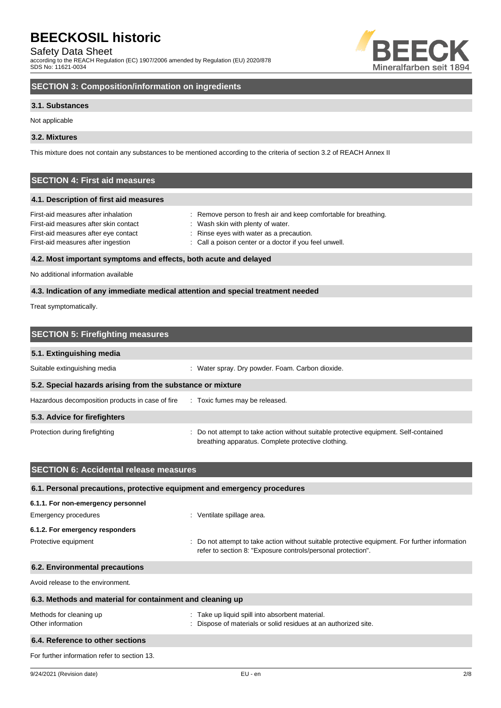Safety Data Sheet

according to the REACH Regulation (EC) 1907/2006 amended by Regulation (EU) 2020/878 SDS No: 11621-0034



# **SECTION 3: Composition/information on ingredients**

# **3.1. Substances**

Not applicable

# **3.2. Mixtures**

This mixture does not contain any substances to be mentioned according to the criteria of section 3.2 of REACH Annex II

# **SECTION 4: First aid measures**

### **4.1. Description of first aid measures**

| First-aid measures after inhalation   | : Remove person to fresh air and keep comfortable for breathing. |
|---------------------------------------|------------------------------------------------------------------|
| First-aid measures after skin contact | : Wash skin with plenty of water.                                |
| First-aid measures after eye contact  | : Rinse eyes with water as a precaution.                         |
| First-aid measures after ingestion    | : Call a poison center or a doctor if you feel unwell.           |
|                                       |                                                                  |

# **4.2. Most important symptoms and effects, both acute and delayed**

No additional information available

# **4.3. Indication of any immediate medical attention and special treatment needed**

Treat symptomatically.

| <b>SECTION 5: Firefighting measures</b>                    |                                                                                                                                             |
|------------------------------------------------------------|---------------------------------------------------------------------------------------------------------------------------------------------|
| 5.1. Extinguishing media                                   |                                                                                                                                             |
| Suitable extinguishing media                               | : Water spray. Dry powder. Foam. Carbon dioxide.                                                                                            |
| 5.2. Special hazards arising from the substance or mixture |                                                                                                                                             |
| Hazardous decomposition products in case of fire           | : Toxic fumes may be released.                                                                                                              |
| 5.3. Advice for firefighters                               |                                                                                                                                             |
| Protection during firefighting                             | : Do not attempt to take action without suitable protective equipment. Self-contained<br>breathing apparatus. Complete protective clothing. |

| <b>SECTION 6: Accidental release measures</b>                            |                                                                                                                                                                |
|--------------------------------------------------------------------------|----------------------------------------------------------------------------------------------------------------------------------------------------------------|
| 6.1. Personal precautions, protective equipment and emergency procedures |                                                                                                                                                                |
| 6.1.1. For non-emergency personnel                                       |                                                                                                                                                                |
| Emergency procedures                                                     | : Ventilate spillage area.                                                                                                                                     |
| 6.1.2. For emergency responders                                          |                                                                                                                                                                |
| Protective equipment                                                     | : Do not attempt to take action without suitable protective equipment. For further information<br>refer to section 8: "Exposure controls/personal protection". |
| 6.2. Environmental precautions                                           |                                                                                                                                                                |
| Avoid release to the environment.                                        |                                                                                                                                                                |
| 6.3. Methods and material for containment and cleaning up                |                                                                                                                                                                |
| Methods for cleaning up<br>Other information                             | : Take up liquid spill into absorbent material.<br>: Dispose of materials or solid residues at an authorized site.                                             |
| 6.4. Reference to other sections                                         |                                                                                                                                                                |
| For further information refer to section 13.                             |                                                                                                                                                                |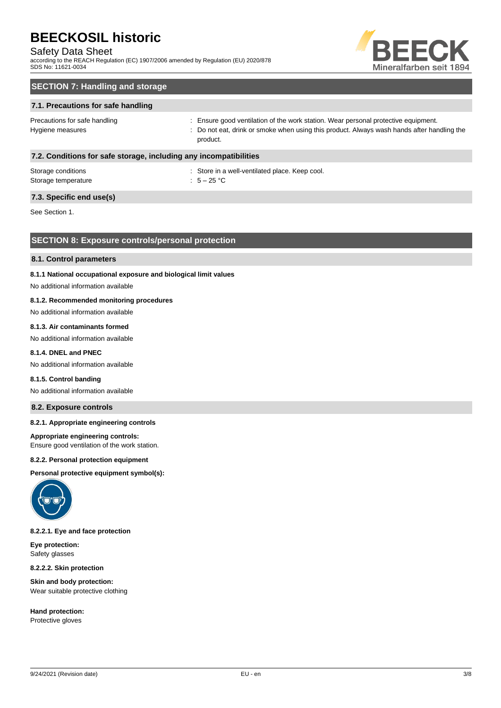# Safety Data Sheet

according to the REACH Regulation (EC) 1907/2006 amended by Regulation (EU) 2020/878 SDS No: 11621-0034



# **SECTION 7: Handling and storage**

# **7.1. Precautions for safe handling**

Precautions for safe handling state is ensure good ventilation of the work station. Wear personal protective equipment. Hygiene measures states of the state of the not eat, drink or smoke when using this product. Always wash hands after handling the product.

### **7.2. Conditions for safe storage, including any incompatibilities**

| Storage conditions  | : Store in a |
|---------------------|--------------|
| Storage temperature | : $5-25$ °C  |

: Store in a well-ventilated place. Keep cool.

# **7.3. Specific end use(s)**

See Section 1.

# **SECTION 8: Exposure controls/personal protection**

#### **8.1. Control parameters**

#### **8.1.1 National occupational exposure and biological limit values**

No additional information available

### **8.1.2. Recommended monitoring procedures**

No additional information available

### **8.1.3. Air contaminants formed**

No additional information available

### **8.1.4. DNEL and PNEC**

No additional information available

#### **8.1.5. Control banding**

No additional information available

### **8.2. Exposure controls**

#### **8.2.1. Appropriate engineering controls**

#### **Appropriate engineering controls:**

Ensure good ventilation of the work station.

#### **8.2.2. Personal protection equipment**

**Personal protective equipment symbol(s):**



### **8.2.2.1. Eye and face protection**

**Eye protection:** Safety glasses

**8.2.2.2. Skin protection**

**Skin and body protection:** Wear suitable protective clothing

**Hand protection:** Protective gloves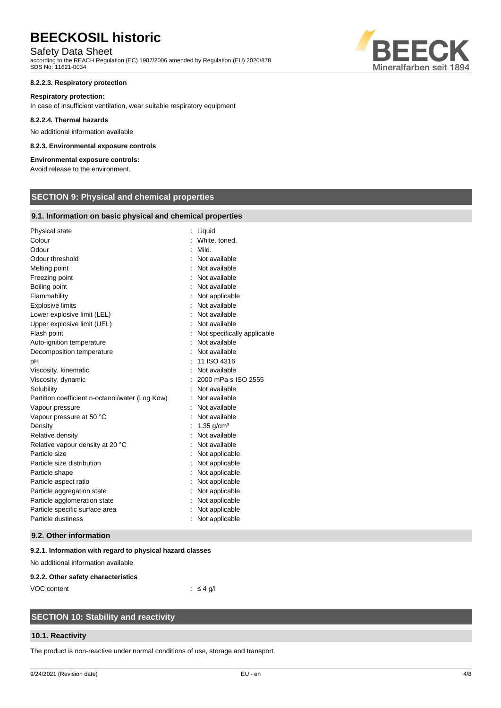# Safety Data Sheet

according to the REACH Regulation (EC) 1907/2006 amended by Regulation (EU) 2020/878 SDS No: 11621-0034

# **8.2.2.3. Respiratory protection**

# **Respiratory protection:**

In case of insufficient ventilation, wear suitable respiratory equipment

# **8.2.2.4. Thermal hazards**

No additional information available

# **8.2.3. Environmental exposure controls**

# **Environmental exposure controls:**

Avoid release to the environment.

# **SECTION 9: Physical and chemical properties**

# **9.1. Information on basic physical and chemical properties**

| Physical state                                  | Liquid                      |
|-------------------------------------------------|-----------------------------|
| Colour                                          | White, toned.               |
| Odour                                           | Mild.                       |
| Odour threshold                                 | : Not available             |
| Melting point                                   | Not available               |
| Freezing point                                  | Not available               |
| Boiling point                                   | Not available               |
| Flammability                                    | Not applicable              |
| <b>Explosive limits</b>                         | Not available               |
| Lower explosive limit (LEL)                     | : Not available             |
| Upper explosive limit (UEL)                     | : Not available             |
| Flash point                                     | Not specifically applicable |
| Auto-ignition temperature                       | Not available               |
| Decomposition temperature                       | Not available               |
| pH                                              | 11 ISO 4316                 |
| Viscosity, kinematic                            | Not available               |
| Viscosity, dynamic                              | 2000 mPa-s ISO 2555         |
| Solubility                                      | Not available               |
| Partition coefficient n-octanol/water (Log Kow) | Not available               |
| Vapour pressure                                 | Not available               |
| Vapour pressure at 50 °C                        | Not available               |
| Density                                         | $1.35$ g/cm <sup>3</sup>    |
| Relative density                                | Not available               |
| Relative vapour density at 20 °C                | : Not available             |
| Particle size                                   | Not applicable              |
| Particle size distribution                      | Not applicable              |
| Particle shape                                  | Not applicable              |
| Particle aspect ratio                           | Not applicable              |
| Particle aggregation state                      | Not applicable              |
| Particle agglomeration state                    | Not applicable              |
| Particle specific surface area                  | Not applicable              |
| Particle dustiness                              | Not applicable              |
|                                                 |                             |

# **9.2. Other information**

# **9.2.1. Information with regard to physical hazard classes**

No additional information available

# **9.2.2. Other safety characteristics**

VOC content  $\qquad \qquad : \leq 4 \text{ g/l}$ 

# **SECTION 10: Stability and reactivity**

# **10.1. Reactivity**

The product is non-reactive under normal conditions of use, storage and transport.

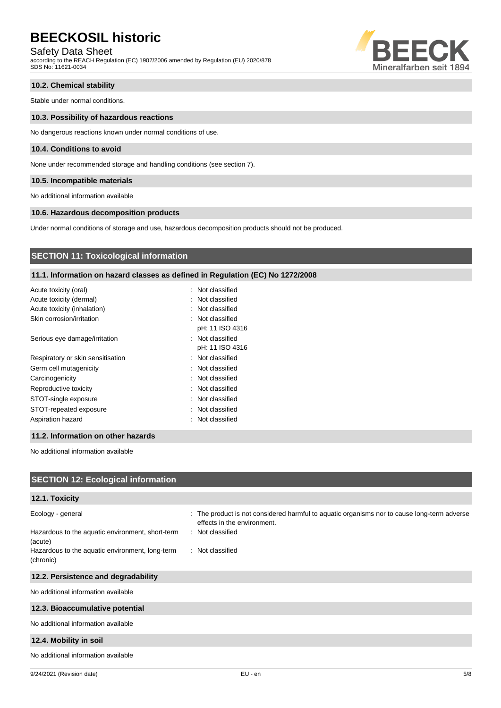# Safety Data Sheet

according to the REACH Regulation (EC) 1907/2006 amended by Regulation (EU) 2020/878 SDS No: 11621-0034



# **10.2. Chemical stability**

Stable under normal conditions.

#### **10.3. Possibility of hazardous reactions**

No dangerous reactions known under normal conditions of use.

### **10.4. Conditions to avoid**

None under recommended storage and handling conditions (see section 7).

#### **10.5. Incompatible materials**

No additional information available

### **10.6. Hazardous decomposition products**

Under normal conditions of storage and use, hazardous decomposition products should not be produced.

# **SECTION 11: Toxicological information**

# **11.1. Information on hazard classes as defined in Regulation (EC) No 1272/2008**

| Acute toxicity (oral)             | : Not classified |
|-----------------------------------|------------------|
| Acute toxicity (dermal)           | : Not classified |
| Acute toxicity (inhalation)       | : Not classified |
| Skin corrosion/irritation         | : Not classified |
|                                   | pH: 11 ISO 4316  |
| Serious eye damage/irritation     | : Not classified |
|                                   | pH: 11 ISO 4316  |
| Respiratory or skin sensitisation | : Not classified |
| Germ cell mutagenicity            | : Not classified |
| Carcinogenicity                   | : Not classified |
| Reproductive toxicity             | : Not classified |
| STOT-single exposure              | : Not classified |
| STOT-repeated exposure            | : Not classified |
| Aspiration hazard                 | : Not classified |
|                                   |                  |

# **11.2. Information on other hazards**

No additional information available

| <b>SECTION 12: Ecological information</b>                                                                                                        |                                                                                                                                                                    |
|--------------------------------------------------------------------------------------------------------------------------------------------------|--------------------------------------------------------------------------------------------------------------------------------------------------------------------|
| 12.1. Toxicity                                                                                                                                   |                                                                                                                                                                    |
| Ecology - general<br>Hazardous to the aquatic environment, short-term<br>(acute)<br>Hazardous to the aquatic environment, long-term<br>(chronic) | : The product is not considered harmful to aquatic organisms nor to cause long-term adverse<br>effects in the environment.<br>: Not classified<br>: Not classified |
| 12.2. Persistence and degradability                                                                                                              |                                                                                                                                                                    |
| No additional information available                                                                                                              |                                                                                                                                                                    |
| 12.3. Bioaccumulative potential                                                                                                                  |                                                                                                                                                                    |
| No additional information available                                                                                                              |                                                                                                                                                                    |
| 12.4. Mobility in soil                                                                                                                           |                                                                                                                                                                    |
| No additional information available                                                                                                              |                                                                                                                                                                    |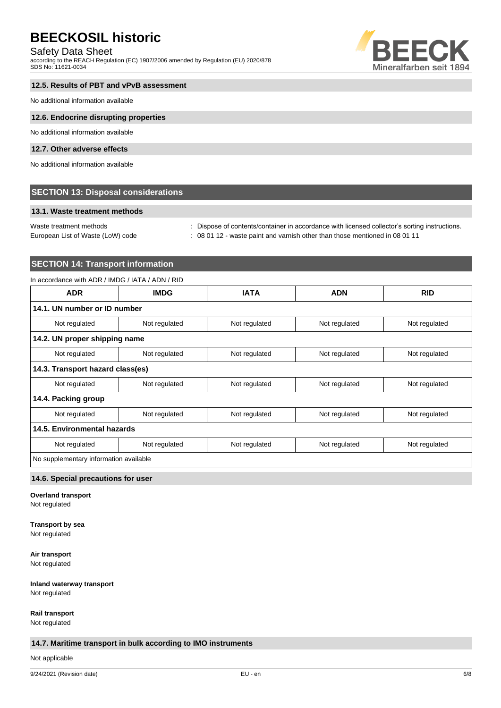# Safety Data Sheet

according to the REACH Regulation (EC) 1907/2006 amended by Regulation (EU) 2020/878 SDS No: 11621-0034



# **12.5. Results of PBT and vPvB assessment**

No additional information available

#### **12.6. Endocrine disrupting properties**

No additional information available

# **12.7. Other adverse effects**

No additional information available

# **SECTION 13: Disposal considerations**

# **13.1. Waste treatment methods**

Waste treatment methods : Dispose of contents/container in accordance with licensed collector's sorting instructions.

European List of Waste (LoW) code : 08 01 12 - waste paint and varnish other than those mentioned in 08 01 11

# **SECTION 14: Transport information**

# In accordance with ADR / IMDG / IATA / ADN / RID

| <b>ADR</b>                             | <b>IMDG</b>   | <b>IATA</b>   | <b>ADN</b>    | <b>RID</b>    |
|----------------------------------------|---------------|---------------|---------------|---------------|
| 14.1. UN number or ID number           |               |               |               |               |
| Not regulated                          | Not regulated | Not regulated | Not regulated | Not regulated |
| 14.2. UN proper shipping name          |               |               |               |               |
| Not regulated                          | Not regulated | Not regulated | Not regulated | Not regulated |
| 14.3. Transport hazard class(es)       |               |               |               |               |
| Not regulated                          | Not regulated | Not regulated | Not regulated | Not regulated |
| 14.4. Packing group                    |               |               |               |               |
| Not regulated                          | Not regulated | Not regulated | Not regulated | Not regulated |
| 14.5. Environmental hazards            |               |               |               |               |
| Not regulated                          | Not regulated | Not regulated | Not regulated | Not regulated |
| No supplementary information available |               |               |               |               |

### **14.6. Special precautions for user**

**Overland transport**

Not regulated

# **Transport by sea**

Not regulated

**Air transport**

Not regulated

#### **Inland waterway transport** Not regulated

**Rail transport**

Not regulated

# **14.7. Maritime transport in bulk according to IMO instruments**

Not applicable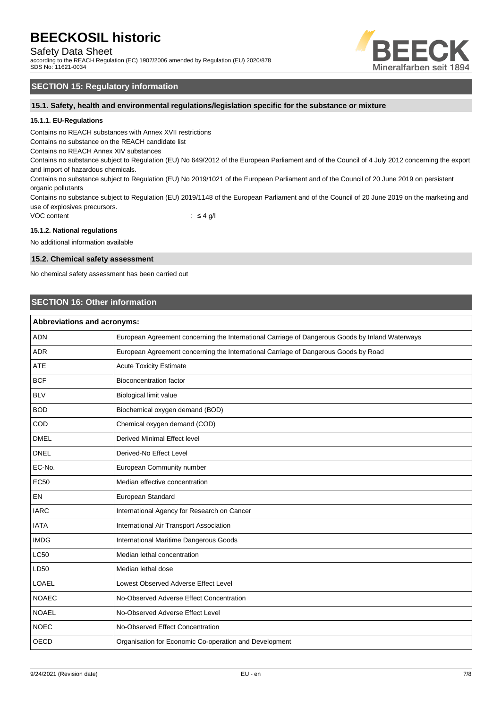Safety Data Sheet

according to the REACH Regulation (EC) 1907/2006 amended by Regulation (EU) 2020/878 SDS No: 11621-0034



# **SECTION 15: Regulatory information**

**15.1. Safety, health and environmental regulations/legislation specific for the substance or mixture**

# **15.1.1. EU-Regulations**

Contains no REACH substances with Annex XVII restrictions

Contains no substance on the REACH candidate list

Contains no REACH Annex XIV substances

Contains no substance subject to Regulation (EU) No 649/2012 of the European Parliament and of the Council of 4 July 2012 concerning the export and import of hazardous chemicals.

Contains no substance subject to Regulation (EU) No 2019/1021 of the European Parliament and of the Council of 20 June 2019 on persistent organic pollutants

Contains no substance subject to Regulation (EU) 2019/1148 of the European Parliament and of the Council of 20 June 2019 on the marketing and use of explosives precursors.

VOC content  $\qquad \qquad : \leq 4 \text{ g/l}$ 

### **15.1.2. National regulations**

No additional information available

### **15.2. Chemical safety assessment**

No chemical safety assessment has been carried out

# **SECTION 16: Other information**

| <b>Abbreviations and acronyms:</b> |                                                                                                 |  |
|------------------------------------|-------------------------------------------------------------------------------------------------|--|
| <b>ADN</b>                         | European Agreement concerning the International Carriage of Dangerous Goods by Inland Waterways |  |
| <b>ADR</b>                         | European Agreement concerning the International Carriage of Dangerous Goods by Road             |  |
| <b>ATE</b>                         | <b>Acute Toxicity Estimate</b>                                                                  |  |
| <b>BCF</b>                         | <b>Bioconcentration factor</b>                                                                  |  |
| <b>BLV</b>                         | Biological limit value                                                                          |  |
| <b>BOD</b>                         | Biochemical oxygen demand (BOD)                                                                 |  |
| COD                                | Chemical oxygen demand (COD)                                                                    |  |
| <b>DMEL</b>                        | Derived Minimal Effect level                                                                    |  |
| <b>DNEL</b>                        | Derived-No Effect Level                                                                         |  |
| EC-No.                             | European Community number                                                                       |  |
| <b>EC50</b>                        | Median effective concentration                                                                  |  |
| EN                                 | European Standard                                                                               |  |
| <b>IARC</b>                        | International Agency for Research on Cancer                                                     |  |
| <b>IATA</b>                        | International Air Transport Association                                                         |  |
| <b>IMDG</b>                        | International Maritime Dangerous Goods                                                          |  |
| <b>LC50</b>                        | Median lethal concentration                                                                     |  |
| LD50                               | Median lethal dose                                                                              |  |
| LOAEL                              | Lowest Observed Adverse Effect Level                                                            |  |
| <b>NOAEC</b>                       | No-Observed Adverse Effect Concentration                                                        |  |
| <b>NOAEL</b>                       | No-Observed Adverse Effect Level                                                                |  |
| <b>NOEC</b>                        | No-Observed Effect Concentration                                                                |  |
| <b>OECD</b>                        | Organisation for Economic Co-operation and Development                                          |  |